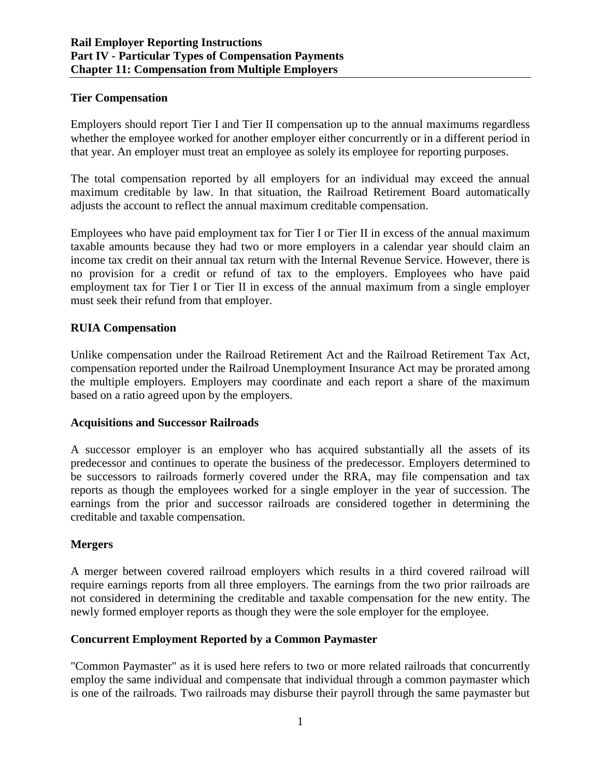### **Tier Compensation**

Employers should report Tier I and Tier II compensation up to the annual maximums regardless whether the employee worked for another employer either concurrently or in a different period in that year. An employer must treat an employee as solely its employee for reporting purposes.

The total compensation reported by all employers for an individual may exceed the annual maximum creditable by law. In that situation, the Railroad Retirement Board automatically adjusts the account to reflect the annual maximum creditable compensation.

Employees who have paid employment tax for Tier I or Tier II in excess of the annual maximum taxable amounts because they had two or more employers in a calendar year should claim an income tax credit on their annual tax return with the Internal Revenue Service. However, there is no provision for a credit or refund of tax to the employers. Employees who have paid employment tax for Tier I or Tier II in excess of the annual maximum from a single employer must seek their refund from that employer.

### **RUIA Compensation**

Unlike compensation under the Railroad Retirement Act and the Railroad Retirement Tax Act, compensation reported under the Railroad Unemployment Insurance Act may be prorated among the multiple employers. Employers may coordinate and each report a share of the maximum based on a ratio agreed upon by the employers.

#### **Acquisitions and Successor Railroads**

A successor employer is an employer who has acquired substantially all the assets of its predecessor and continues to operate the business of the predecessor. Employers determined to be successors to railroads formerly covered under the RRA, may file compensation and tax reports as though the employees worked for a single employer in the year of succession. The earnings from the prior and successor railroads are considered together in determining the creditable and taxable compensation.

# **Mergers**

A merger between covered railroad employers which results in a third covered railroad will require earnings reports from all three employers. The earnings from the two prior railroads are not considered in determining the creditable and taxable compensation for the new entity. The newly formed employer reports as though they were the sole employer for the employee.

# **Concurrent Employment Reported by a Common Paymaster**

"Common Paymaster" as it is used here refers to two or more related railroads that concurrently employ the same individual and compensate that individual through a common paymaster which is one of the railroads. Two railroads may disburse their payroll through the same paymaster but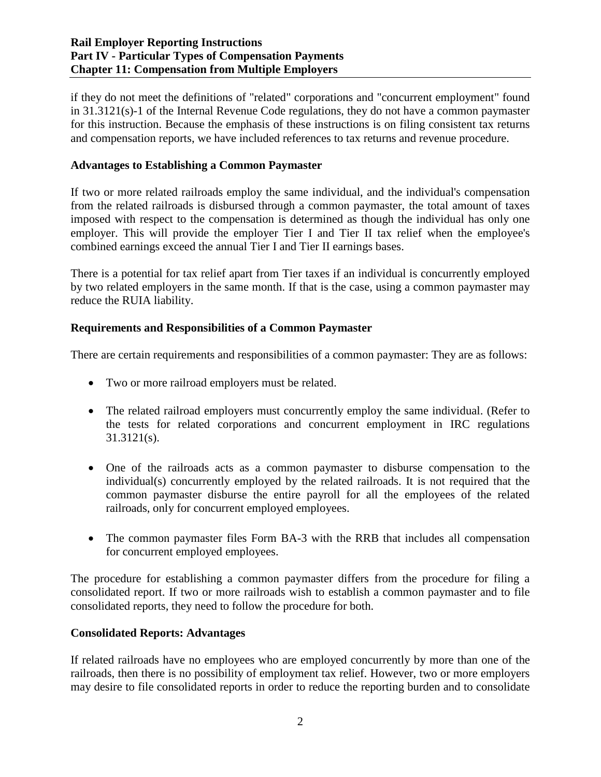### **Rail Employer Reporting Instructions Part IV - Particular Types of Compensation Payments Chapter 11: Compensation from Multiple Employers**

if they do not meet the definitions of "related" corporations and "concurrent employment" found in 31.3121(s)-1 of the Internal Revenue Code regulations, they do not have a common paymaster for this instruction. Because the emphasis of these instructions is on filing consistent tax returns and compensation reports, we have included references to tax returns and revenue procedure.

### **Advantages to Establishing a Common Paymaster**

If two or more related railroads employ the same individual, and the individual's compensation from the related railroads is disbursed through a common paymaster, the total amount of taxes imposed with respect to the compensation is determined as though the individual has only one employer. This will provide the employer Tier I and Tier II tax relief when the employee's combined earnings exceed the annual Tier I and Tier II earnings bases.

There is a potential for tax relief apart from Tier taxes if an individual is concurrently employed by two related employers in the same month. If that is the case, using a common paymaster may reduce the RUIA liability.

### **Requirements and Responsibilities of a Common Paymaster**

There are certain requirements and responsibilities of a common paymaster: They are as follows:

- Two or more railroad employers must be related.
- The related railroad employers must concurrently employ the same individual. (Refer to the tests for related corporations and concurrent employment in IRC regulations 31.3121(s).
- One of the railroads acts as a common paymaster to disburse compensation to the individual(s) concurrently employed by the related railroads. It is not required that the common paymaster disburse the entire payroll for all the employees of the related railroads, only for concurrent employed employees.
- The common paymaster files Form BA-3 with the RRB that includes all compensation for concurrent employed employees.

The procedure for establishing a common paymaster differs from the procedure for filing a consolidated report. If two or more railroads wish to establish a common paymaster and to file consolidated reports, they need to follow the procedure for both.

#### **Consolidated Reports: Advantages**

If related railroads have no employees who are employed concurrently by more than one of the railroads, then there is no possibility of employment tax relief. However, two or more employers may desire to file consolidated reports in order to reduce the reporting burden and to consolidate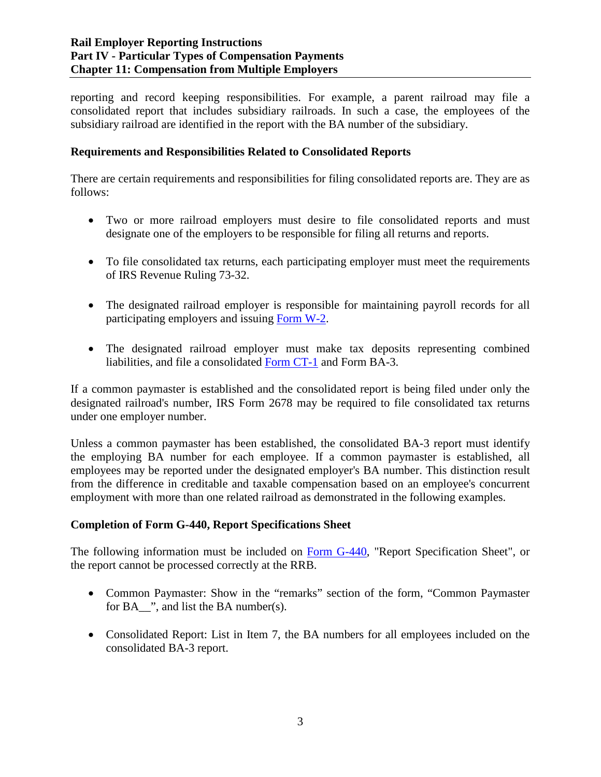reporting and record keeping responsibilities. For example, a parent railroad may file a consolidated report that includes subsidiary railroads. In such a case, the employees of the subsidiary railroad are identified in the report with the BA number of the subsidiary.

### **Requirements and Responsibilities Related to Consolidated Reports**

There are certain requirements and responsibilities for filing consolidated reports are. They are as follows:

- Two or more railroad employers must desire to file consolidated reports and must designate one of the employers to be responsible for filing all returns and reports.
- To file consolidated tax returns, each participating employer must meet the requirements of IRS Revenue Ruling 73-32.
- The designated railroad employer is responsible for maintaining payroll records for all participating employers and issuing [Form W-2.](https://www.irs.gov/uac/about-form-w2)
- The designated railroad employer must make tax deposits representing combined liabilities, and file a consolidated [Form CT-1](https://www.irs.gov/pub/irs-pdf/fct1.pdf) and Form BA-3.

If a common paymaster is established and the consolidated report is being filed under only the designated railroad's number, IRS Form 2678 may be required to file consolidated tax returns under one employer number.

Unless a common paymaster has been established, the consolidated BA-3 report must identify the employing BA number for each employee. If a common paymaster is established, all employees may be reported under the designated employer's BA number. This distinction result from the difference in creditable and taxable compensation based on an employee's concurrent employment with more than one related railroad as demonstrated in the following examples.

#### **Completion of Form G-440, Report Specifications Sheet**

The following information must be included on Form G-440, "Report Specification Sheet", or the report cannot be processed correctly at the RRB.

- Common Paymaster: Show in the "remarks" section of the form, "Common Paymaster for BA\_\_", and list the BA number(s).
- Consolidated Report: List in Item 7, the BA numbers for all employees included on the consolidated BA-3 report.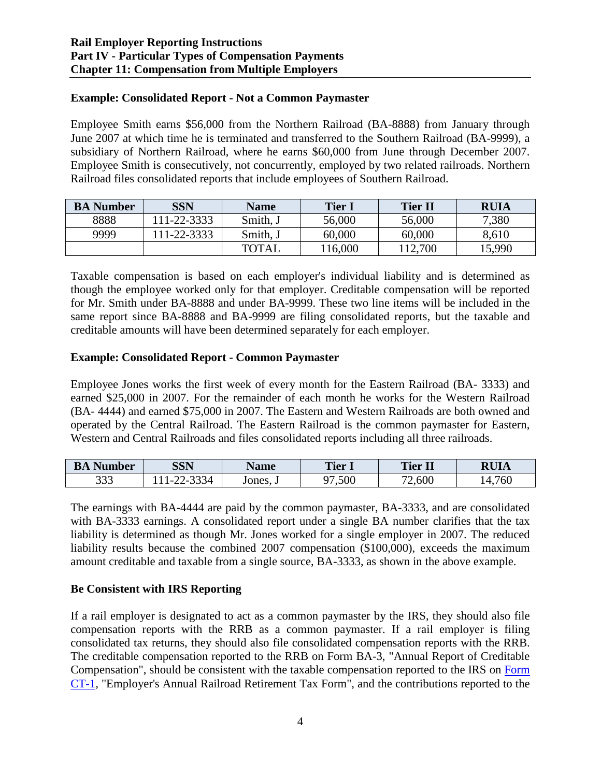### **Example: Consolidated Report - Not a Common Paymaster**

Employee Smith earns \$56,000 from the Northern Railroad (BA-8888) from January through June 2007 at which time he is terminated and transferred to the Southern Railroad (BA-9999), a subsidiary of Northern Railroad, where he earns \$60,000 from June through December 2007. Employee Smith is consecutively, not concurrently, employed by two related railroads. Northern Railroad files consolidated reports that include employees of Southern Railroad.

| <b>BA</b> Number | <b>SSN</b> | <b>Name</b>  | <b>Tier 1</b> | <b>Tier II</b> | <b>RUIA</b> |
|------------------|------------|--------------|---------------|----------------|-------------|
| 8888             | 11-22-3333 | Smith, J     | 56,000        | 56,000         | 7,380       |
| 9999             | 11-22-3333 | Smith, J     | 60,000        | 60,000         | 8,610       |
|                  |            | <b>TOTAL</b> | 16,000        | 112,700        | 15,990      |

Taxable compensation is based on each employer's individual liability and is determined as though the employee worked only for that employer. Creditable compensation will be reported for Mr. Smith under BA-8888 and under BA-9999. These two line items will be included in the same report since BA-8888 and BA-9999 are filing consolidated reports, but the taxable and creditable amounts will have been determined separately for each employer.

#### **Example: Consolidated Report - Common Paymaster**

Employee Jones works the first week of every month for the Eastern Railroad (BA- 3333) and earned \$25,000 in 2007. For the remainder of each month he works for the Western Railroad (BA- 4444) and earned \$75,000 in 2007. The Eastern and Western Railroads are both owned and operated by the Central Railroad. The Eastern Railroad is the common paymaster for Eastern, Western and Central Railroads and files consolidated reports including all three railroads.

| Number<br>БA  | SSN                            | Name   | <b>Tier 1</b>  | <b>Tier II</b> | <b>RUIA</b> |
|---------------|--------------------------------|--------|----------------|----------------|-------------|
| $\cap$<br>999 | $\mathbf{A}$<br>34<br>י –<br>. | Jones, | ,500<br>$\sim$ | 2,600<br>70    | ,760<br>Z   |

The earnings with BA-4444 are paid by the common paymaster, BA-3333, and are consolidated with BA-3333 earnings. A consolidated report under a single BA number clarifies that the tax liability is determined as though Mr. Jones worked for a single employer in 2007. The reduced liability results because the combined 2007 compensation (\$100,000), exceeds the maximum amount creditable and taxable from a single source, BA-3333, as shown in the above example.

#### **Be Consistent with IRS Reporting**

If a rail employer is designated to act as a common paymaster by the IRS, they should also file compensation reports with the RRB as a common paymaster. If a rail employer is filing consolidated tax returns, they should also file consolidated compensation reports with the RRB. The creditable compensation reported to the RRB on Form BA-3, "Annual Report of Creditable Compensation", should be consistent with the taxable compensation reported to the IRS on [Form](https://www.irs.gov/pub/irs-pdf/fct1.pdf)  [CT-1,](https://www.irs.gov/pub/irs-pdf/fct1.pdf) "Employer's Annual Railroad Retirement Tax Form", and the contributions reported to the